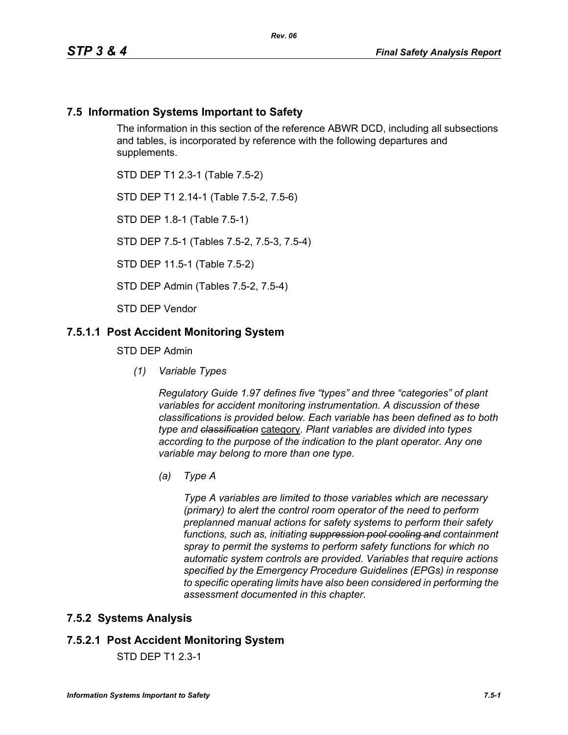### **7.5 Information Systems Important to Safety**

The information in this section of the reference ABWR DCD, including all subsections and tables, is incorporated by reference with the following departures and supplements.

STD DEP T1 2.3-1 (Table 7.5-2)

STD DEP T1 2.14-1 (Table 7.5-2, 7.5-6)

STD DEP 1.8-1 (Table 7.5-1)

STD DEP 7.5-1 (Tables 7.5-2, 7.5-3, 7.5-4)

STD DEP 11.5-1 (Table 7.5-2)

STD DEP Admin (Tables 7.5-2, 7.5-4)

STD DEP Vendor

#### **7.5.1.1 Post Accident Monitoring System**

STD DEP Admin

*(1) Variable Types*

*Regulatory Guide 1.97 defines five "types" and three "categories" of plant variables for accident monitoring instrumentation. A discussion of these classifications is provided below. Each variable has been defined as to both type and classification* category*. Plant variables are divided into types according to the purpose of the indication to the plant operator. Any one variable may belong to more than one type.*

*(a) Type A*

*Type A variables are limited to those variables which are necessary (primary) to alert the control room operator of the need to perform preplanned manual actions for safety systems to perform their safety functions, such as, initiating suppression pool cooling and containment spray to permit the systems to perform safety functions for which no automatic system controls are provided. Variables that require actions specified by the Emergency Procedure Guidelines (EPGs) in response to specific operating limits have also been considered in performing the assessment documented in this chapter.*

#### **7.5.2 Systems Analysis**

### **7.5.2.1 Post Accident Monitoring System**

STD DEP T1 2.3-1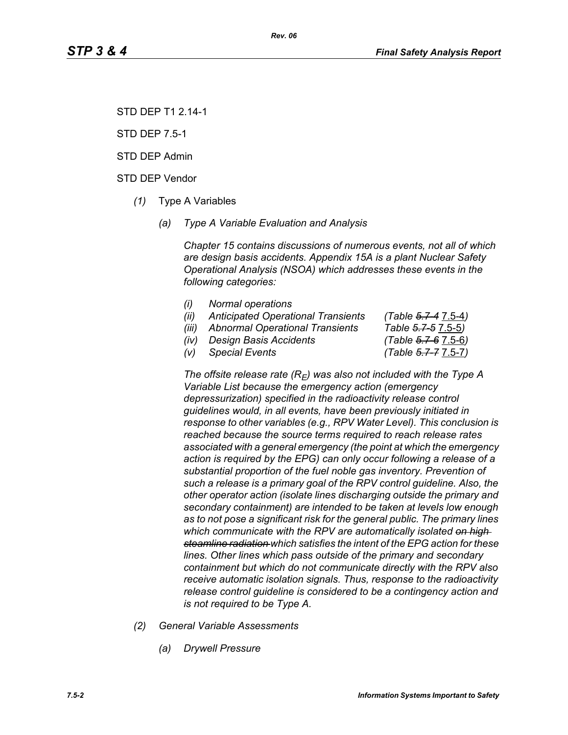STD DEP T1 2.14-1

STD DEP 7.5-1

STD DEP Admin

STD DEP Vendor

- *(1)* Type A Variables
	- *(a) Type A Variable Evaluation and Analysis*

*Chapter 15 contains discussions of numerous events, not all of which are design basis accidents. Appendix 15A is a plant Nuclear Safety Operational Analysis (NSOA) which addresses these events in the following categories:*

- *(i) Normal operations*
- *(ii) Anticipated Operational Transients (Table 5.7-4* 7.5-4*)*
- *(iii) Abnormal Operational Transients Table 5.7-5* 7.5-5*)*
- *(iv) Design Basis Accidents (Table 5.7-6* 7.5-6*)*

*(v) Special Events (Table 5.7-7* 7.5-7*)*

The offsite release rate  $(R_E)$  was also not included with the Type A *Variable List because the emergency action (emergency depressurization) specified in the radioactivity release control guidelines would, in all events, have been previously initiated in response to other variables (e.g., RPV Water Level). This conclusion is reached because the source terms required to reach release rates associated with a general emergency (the point at which the emergency action is required by the EPG) can only occur following a release of a substantial proportion of the fuel noble gas inventory. Prevention of such a release is a primary goal of the RPV control guideline. Also, the other operator action (isolate lines discharging outside the primary and secondary containment) are intended to be taken at levels low enough as to not pose a significant risk for the general public. The primary lines which communicate with the RPV are automatically isolated on high steamline radiation which satisfies the intent of the EPG action for these lines. Other lines which pass outside of the primary and secondary containment but which do not communicate directly with the RPV also receive automatic isolation signals. Thus, response to the radioactivity release control guideline is considered to be a contingency action and is not required to be Type A.*

- *(2) General Variable Assessments*
	- *(a) Drywell Pressure*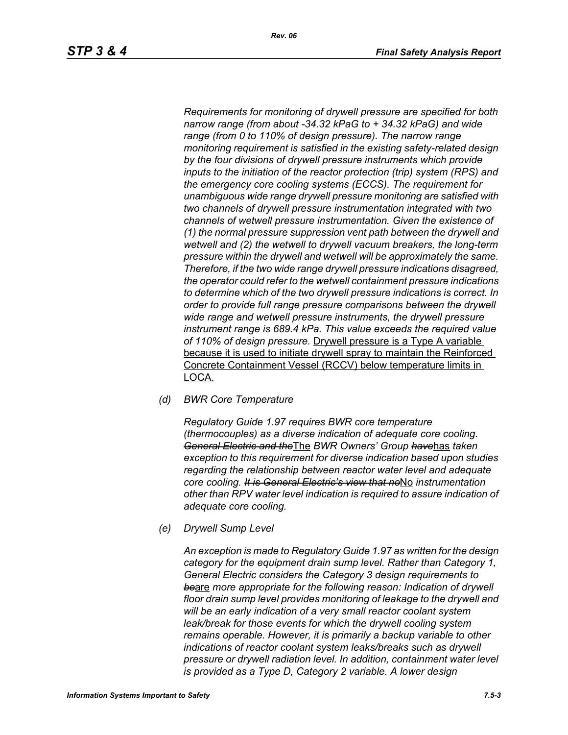*Requirements for monitoring of drywell pressure are specified for both narrow range (from about -34.32 kPaG to + 34.32 kPaG) and wide range (from 0 to 110% of design pressure). The narrow range monitoring requirement is satisfied in the existing safety-related design by the four divisions of drywell pressure instruments which provide inputs to the initiation of the reactor protection (trip) system (RPS) and the emergency core cooling systems (ECCS). The requirement for unambiguous wide range drywell pressure monitoring are satisfied with two channels of drywell pressure instrumentation integrated with two channels of wetwell pressure instrumentation. Given the existence of (1) the normal pressure suppression vent path between the drywell and wetwell and (2) the wetwell to drywell vacuum breakers, the long-term pressure within the drywell and wetwell will be approximately the same. Therefore, if the two wide range drywell pressure indications disagreed, the operator could refer to the wetwell containment pressure indications to determine which of the two drywell pressure indications is correct. In order to provide full range pressure comparisons between the drywell wide range and wetwell pressure instruments, the drywell pressure instrument range is 689.4 kPa. This value exceeds the required value of 110% of design pressure.* Drywell pressure is a Type A variable because it is used to initiate drywell spray to maintain the Reinforced Concrete Containment Vessel (RCCV) below temperature limits in LOCA.

*(d) BWR Core Temperature*

*Regulatory Guide 1.97 requires BWR core temperature (thermocouples) as a diverse indication of adequate core cooling. General Electric and the*The *BWR Owners' Group have*has *taken exception to this requirement for diverse indication based upon studies regarding the relationship between reactor water level and adequate core cooling. It is General Electric's view that no*No *instrumentation other than RPV water level indication is required to assure indication of adequate core cooling.*

*(e) Drywell Sump Level*

*An exception is made to Regulatory Guide 1.97 as written for the design category for the equipment drain sump level. Rather than Category 1, General Electric considers the Category 3 design requirements to be*are *more appropriate for the following reason: Indication of drywell floor drain sump level provides monitoring of leakage to the drywell and will be an early indication of a very small reactor coolant system leak/break for those events for which the drywell cooling system remains operable. However, it is primarily a backup variable to other indications of reactor coolant system leaks/breaks such as drywell pressure or drywell radiation level. In addition, containment water level is provided as a Type D, Category 2 variable. A lower design*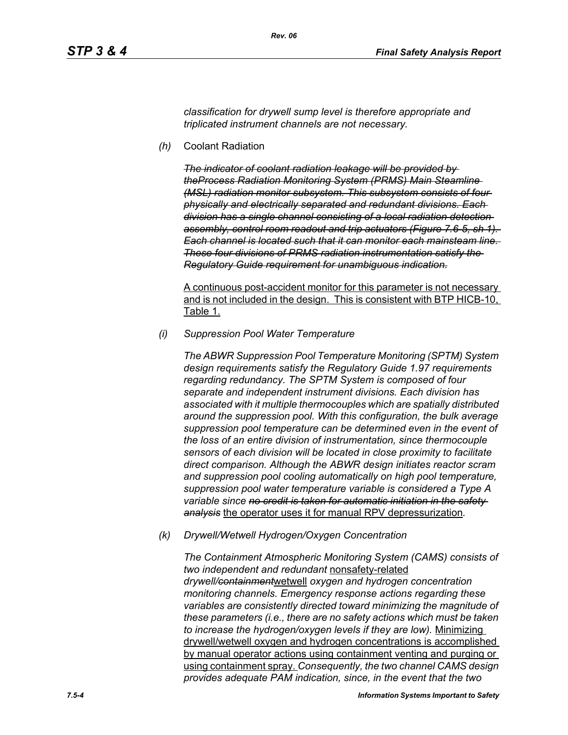*classification for drywell sump level is therefore appropriate and triplicated instrument channels are not necessary.*

*(h)* Coolant Radiation

*The indicator of coolant radiation leakage will be provided by theProcess Radiation Monitoring System (PRMS) Main Steamline (MSL) radiation monitor subsystem. This subsystem consists of four physically and electrically separated and redundant divisions. Each division has a single channel consisting of a local radiation detection assembly, control room readout and trip actuators (Figure 7.6-5, sh 1). Each channel is located such that it can monitor each mainsteam line. These four divisions of PRMS radiation instrumentation satisfy the Regulatory Guide requirement for unambiguous indication.*

A continuous post-accident monitor for this parameter is not necessary and is not included in the design. This is consistent with BTP HICB-10, Table 1.

*(i) Suppression Pool Water Temperature*

*The ABWR Suppression Pool Temperature Monitoring (SPTM) System design requirements satisfy the Regulatory Guide 1.97 requirements regarding redundancy. The SPTM System is composed of four separate and independent instrument divisions. Each division has associated with it multiple thermocouples which are spatially distributed around the suppression pool. With this configuration, the bulk average suppression pool temperature can be determined even in the event of the loss of an entire division of instrumentation, since thermocouple sensors of each division will be located in close proximity to facilitate direct comparison. Although the ABWR design initiates reactor scram and suppression pool cooling automatically on high pool temperature, suppression pool water temperature variable is considered a Type A variable since no credit is taken for automatic initiation in the safety analysis* the operator uses it for manual RPV depressurization*.*

*(k) Drywell/Wetwell Hydrogen/Oxygen Concentration*

*The Containment Atmospheric Monitoring System (CAMS) consists of two independent and redundant* nonsafety-related *drywell/containment*wetwell *oxygen and hydrogen concentration monitoring channels. Emergency response actions regarding these variables are consistently directed toward minimizing the magnitude of these parameters (i.e., there are no safety actions which must be taken to increase the hydrogen/oxygen levels if they are low).* Minimizing drywell/wetwell oxygen and hydrogen concentrations is accomplished by manual operator actions using containment venting and purging or using containment spray. *Consequently, the two channel CAMS design provides adequate PAM indication, since, in the event that the two*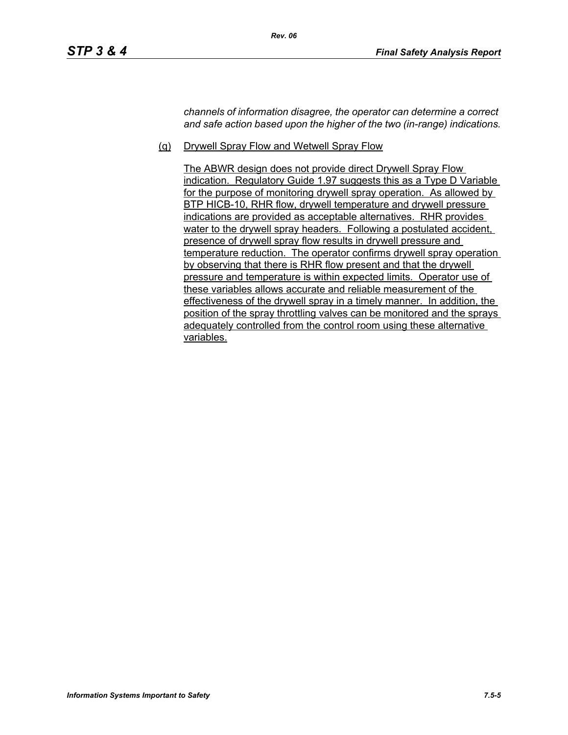*channels of information disagree, the operator can determine a correct and safe action based upon the higher of the two (in-range) indications.*

(q) Drywell Spray Flow and Wetwell Spray Flow

*Rev. 06*

The ABWR design does not provide direct Drywell Spray Flow indication. Regulatory Guide 1.97 suggests this as a Type D Variable for the purpose of monitoring drywell spray operation. As allowed by BTP HICB-10, RHR flow, drywell temperature and drywell pressure indications are provided as acceptable alternatives. RHR provides water to the drywell spray headers. Following a postulated accident, presence of drywell spray flow results in drywell pressure and temperature reduction. The operator confirms drywell spray operation by observing that there is RHR flow present and that the drywell pressure and temperature is within expected limits. Operator use of these variables allows accurate and reliable measurement of the effectiveness of the drywell spray in a timely manner. In addition, the position of the spray throttling valves can be monitored and the sprays adequately controlled from the control room using these alternative variables.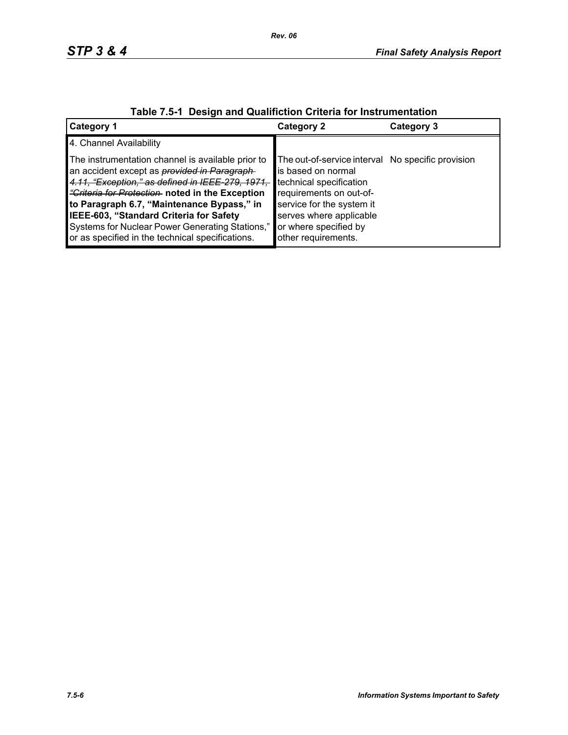| $\frac{1}{2}$ avic $\frac{1}{2}$ . Design and Quannonon Unicha for modular differentiation                                                                                                                                                                                                                                                                                                                            |                                                                                                                                                                                                                                       |            |  |  |
|-----------------------------------------------------------------------------------------------------------------------------------------------------------------------------------------------------------------------------------------------------------------------------------------------------------------------------------------------------------------------------------------------------------------------|---------------------------------------------------------------------------------------------------------------------------------------------------------------------------------------------------------------------------------------|------------|--|--|
| <b>Category 1</b>                                                                                                                                                                                                                                                                                                                                                                                                     | Category 2                                                                                                                                                                                                                            | Category 3 |  |  |
| 4. Channel Availability                                                                                                                                                                                                                                                                                                                                                                                               |                                                                                                                                                                                                                                       |            |  |  |
| The instrumentation channel is available prior to<br>an accident except as <i>provided in Paragraph</i><br>4.11, "Exception," as defined in IEEE-279, 1971,<br><i>"Criteria for Protection</i> noted in the Exception<br>to Paragraph 6.7, "Maintenance Bypass," in<br>IEEE-603, "Standard Criteria for Safety<br>Systems for Nuclear Power Generating Stations,"<br>or as specified in the technical specifications. | The out-of-service interval No specific provision<br>is based on normal<br>technical specification<br>requirements on out-of-<br>service for the system it<br>serves where applicable<br>or where specified by<br>other requirements. |            |  |  |

# **Table 7.5-1 Design and Qualifiction Criteria for Instrumentation**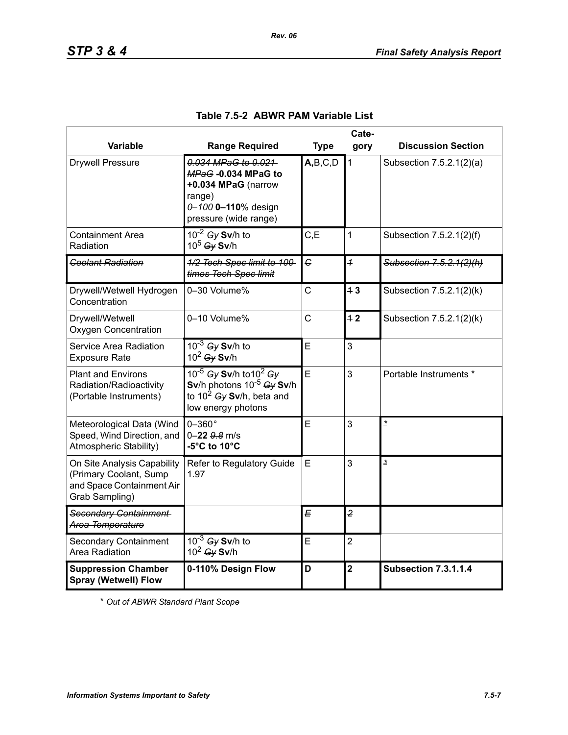|                                                                                                      | Cate-                                                                                                                                          |              |                         |                             |
|------------------------------------------------------------------------------------------------------|------------------------------------------------------------------------------------------------------------------------------------------------|--------------|-------------------------|-----------------------------|
| Variable                                                                                             | <b>Range Required</b>                                                                                                                          | <b>Type</b>  | gory                    | <b>Discussion Section</b>   |
| <b>Drywell Pressure</b>                                                                              | 0.034 MPaG to 0.021<br>MPaG-0.034 MPaG to<br>+0.034 MPaG (narrow<br>range)<br>0-100 0-110% design<br>pressure (wide range)                     | A,B,C,D      | $\mathbf{1}$            | Subsection 7.5.2.1(2)(a)    |
| <b>Containment Area</b><br>Radiation                                                                 | $10^{-2}$ Gy Sv/h to<br>$10^5$ Gy Sv/h                                                                                                         | C, E         | 1                       | Subsection 7.5.2.1(2)(f)    |
| <b>Coolant Radiation</b>                                                                             | 1/2 Tech Spec limit to 100-<br>times Tech Spec limit                                                                                           | C            | $\overline{1}$          | Subsection 7.5.2.1(2)(h)    |
| Drywell/Wetwell Hydrogen<br>Concentration                                                            | 0-30 Volume%                                                                                                                                   | C            | 13                      | Subsection 7.5.2.1(2)(k)    |
| Drywell/Wetwell<br><b>Oxygen Concentration</b>                                                       | 0-10 Volume%                                                                                                                                   | $\mathsf{C}$ | 42                      | Subsection 7.5.2.1(2)(k)    |
| Service Area Radiation<br><b>Exposure Rate</b>                                                       | $10^{-3}$ Gy Sv/h to<br>$10^2$ Gy Sv/h                                                                                                         | E            | 3                       |                             |
| <b>Plant and Environs</b><br>Radiation/Radioactivity<br>(Portable Instruments)                       | 10 <sup>-5</sup> Gy Sv/h to 10 <sup>2</sup> Gy<br>Sv/h photons $10^{-5}$ Gy Sv/h<br>to 10 <sup>2</sup> Gy Sv/h, beta and<br>low energy photons | E            | 3                       | Portable Instruments *      |
| Meteorological Data (Wind<br>Speed, Wind Direction, and<br>Atmospheric Stability)                    | $0-360^\circ$<br>$0 - 22$ $9.8$ m/s<br>-5°C to 10°C                                                                                            | Ė            | 3                       | $\overline{z}$              |
| On Site Analysis Capability<br>(Primary Coolant, Sump<br>and Space Containment Air<br>Grab Sampling) | Refer to Regulatory Guide<br>1.97                                                                                                              | E            | 3                       | $\overline{\phantom{a}}$    |
| Secondary Containment<br>Area Temperature                                                            |                                                                                                                                                | E            | $\overline{2}$          |                             |
| <b>Secondary Containment</b><br>Area Radiation                                                       | $10^{-3}$ Gy Sv/h to<br>$10^2$ Gy Sv/h                                                                                                         | E            | $\overline{2}$          |                             |
| <b>Suppression Chamber</b><br><b>Spray (Wetwell) Flow</b>                                            | 0-110% Design Flow                                                                                                                             | D            | $\overline{\mathbf{2}}$ | <b>Subsection 7.3.1.1.4</b> |

## **Table 7.5-2 ABWR PAM Variable List**

*Rev. 06*

\* *Out of ABWR Standard Plant Scope*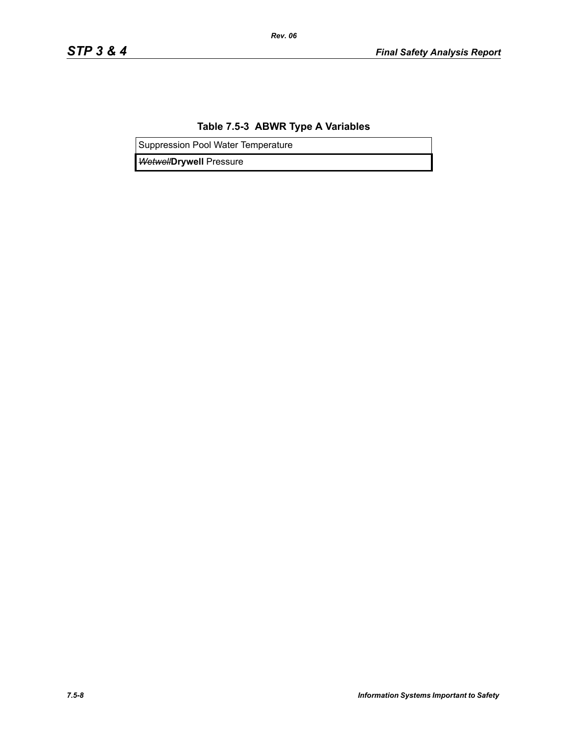## **Table 7.5-3 ABWR Type A Variables**

*Rev. 06*

Suppression Pool Water Temperature

*Wetwell***Drywell** Pressure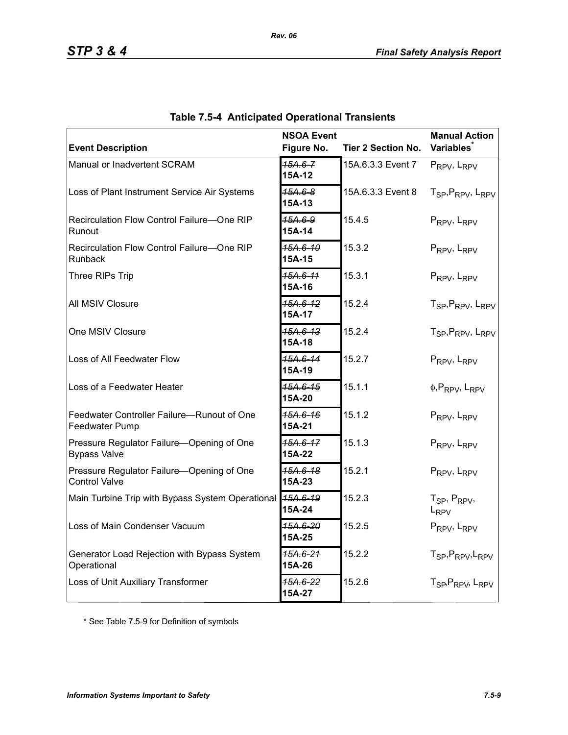| <b>Event Description</b>                                          | <b>NSOA Event</b><br>Figure No. | <b>Tier 2 Section No.</b> | <b>Manual Action</b><br><b>Variables</b>              |
|-------------------------------------------------------------------|---------------------------------|---------------------------|-------------------------------------------------------|
| Manual or Inadvertent SCRAM                                       | $15A.6 - 7$<br>15A-12           | 15A.6.3.3 Event 7         | PRPV, LRPV                                            |
| Loss of Plant Instrument Service Air Systems                      | $45A.6 - 8$<br>15A-13           | 15A.6.3.3 Event 8         | T <sub>SP</sub> , P <sub>RPV</sub> , L <sub>RPV</sub> |
| Recirculation Flow Control Failure-One RIP<br>Runout              | 15A.6-9<br>15A-14               | 15.4.5                    | PRPV, LRPV                                            |
| Recirculation Flow Control Failure-One RIP<br>Runback             | <del>15A.6-10</del><br>15A-15   | 15.3.2                    | PRPV, LRPV                                            |
| Three RIPs Trip                                                   | 15A.6-11<br>15A-16              | 15.3.1                    | PRPV, LRPV                                            |
| All MSIV Closure                                                  | 15A.6-12<br>15A-17              | 15.2.4                    | T <sub>SP</sub> , P <sub>RPV</sub> , L <sub>RPV</sub> |
| One MSIV Closure                                                  | 15A.6-13<br>15A-18              | 15.2.4                    | T <sub>SP</sub> , P <sub>RPV</sub> , L <sub>RPV</sub> |
| Loss of All Feedwater Flow                                        | 15A.6-14<br>15A-19              | 15.2.7                    | PRPV, LRPV                                            |
| Loss of a Feedwater Heater                                        | 15A.6-15<br>15A-20              | 15.1.1                    | $\phi$ , PRPV, LRPV                                   |
| Feedwater Controller Failure-Runout of One<br>Feedwater Pump      | 15A.6-16<br>15A-21              | 15.1.2                    | PRPV, LRPV                                            |
| Pressure Regulator Failure-Opening of One<br><b>Bypass Valve</b>  | $15A.6 - 17$<br>15A-22          | 15.1.3                    | PRPV, LRPV                                            |
| Pressure Regulator Failure-Opening of One<br><b>Control Valve</b> | 15A.6-18<br>15A-23              | 15.2.1                    | PRPV, LRPV                                            |
| Main Turbine Trip with Bypass System Operational                  | 15A.6-19<br>15A-24              | 15.2.3                    | $T_{SP}$ , $P_{RPV}$ ,<br>L <sub>RPV</sub>            |
| Loss of Main Condenser Vacuum                                     | 15A.6-20<br>15A-25              | 15.2.5                    | PRPV, LRPV                                            |
| Generator Load Rejection with Bypass System<br>Operational        | 15A.6-21<br>15A-26              | 15.2.2                    | T <sub>SP</sub> , P <sub>RPV</sub> , L <sub>RPV</sub> |
| Loss of Unit Auxiliary Transformer                                | 15A.6-22<br>15A-27              | 15.2.6                    | T <sub>SP</sub> , P <sub>RPV</sub> , L <sub>RPV</sub> |

|  | <b>Table 7.5-4 Anticipated Operational Transients</b> |  |
|--|-------------------------------------------------------|--|
|  |                                                       |  |

*Rev. 06*

\* See Table 7.5-9 for Definition of symbols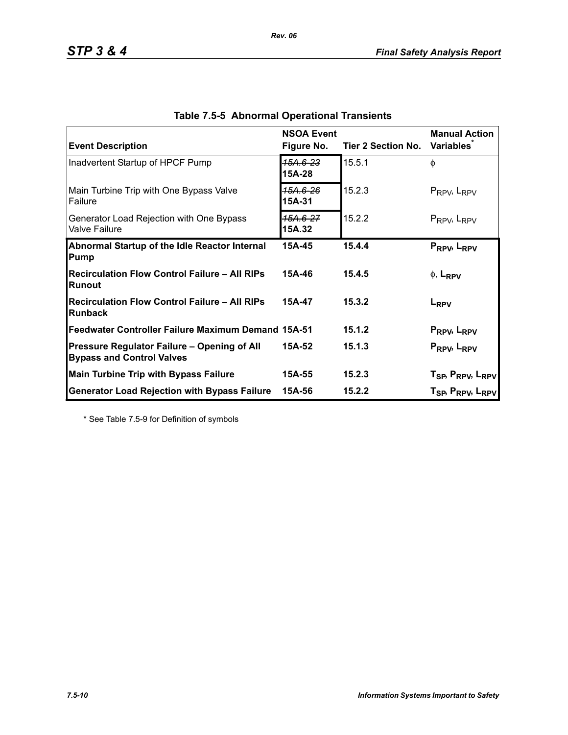| <b>Event Description</b>                                                        | <b>NSOA Event</b><br>Figure No. | Tier 2 Section No. | <b>Manual Action</b><br><b>Variables</b>                                                                       |
|---------------------------------------------------------------------------------|---------------------------------|--------------------|----------------------------------------------------------------------------------------------------------------|
| Inadvertent Startup of HPCF Pump                                                | 15A.6-23<br>15A-28              | 15.5.1             | $\phi$                                                                                                         |
| Main Turbine Trip with One Bypass Valve<br><b>Failure</b>                       | 15А.6-26<br>15A-31              | 15.2.3             | $P_{RPV}$ , $L_{RPV}$                                                                                          |
| Generator Load Rejection with One Bypass<br><b>Valve Failure</b>                | 15A.6-27<br>15A.32              | 15.2.2             | $P_{RPV}$ , $L_{RPV}$                                                                                          |
| Abnormal Startup of the Idle Reactor Internal<br>Pump                           | 15A-45                          | 15.4.4             | PRPV, LRPV                                                                                                     |
| <b>Recirculation Flow Control Failure - All RIPs</b><br>Runout                  | 15A-46                          | 15.4.5             | $\phi$ , L <sub>RPV</sub>                                                                                      |
| <b>Recirculation Flow Control Failure - All RIPs</b><br><b>Runback</b>          | 15A-47                          | 15.3.2             | L <sub>RPV</sub>                                                                                               |
| Feedwater Controller Failure Maximum Demand 15A-51                              |                                 | 15.1.2             | P <sub>RPV</sub> , L <sub>RPV</sub>                                                                            |
| Pressure Regulator Failure - Opening of All<br><b>Bypass and Control Valves</b> | 15A-52                          | 15.1.3             | PRPV <sub>b</sub> L <sub>RPV</sub>                                                                             |
| <b>Main Turbine Trip with Bypass Failure</b>                                    | 15A-55                          | 15.2.3             |                                                                                                                |
| <b>Generator Load Rejection with Bypass Failure</b>                             | 15A-56                          | 15.2.2             | T <sub>SP</sub> , P <sub>RPV</sub> , L <sub>RPV</sub><br>T <sub>SP</sub> , P <sub>RPV</sub> , L <sub>RPV</sub> |

*Rev. 06*

\* See Table 7.5-9 for Definition of symbols